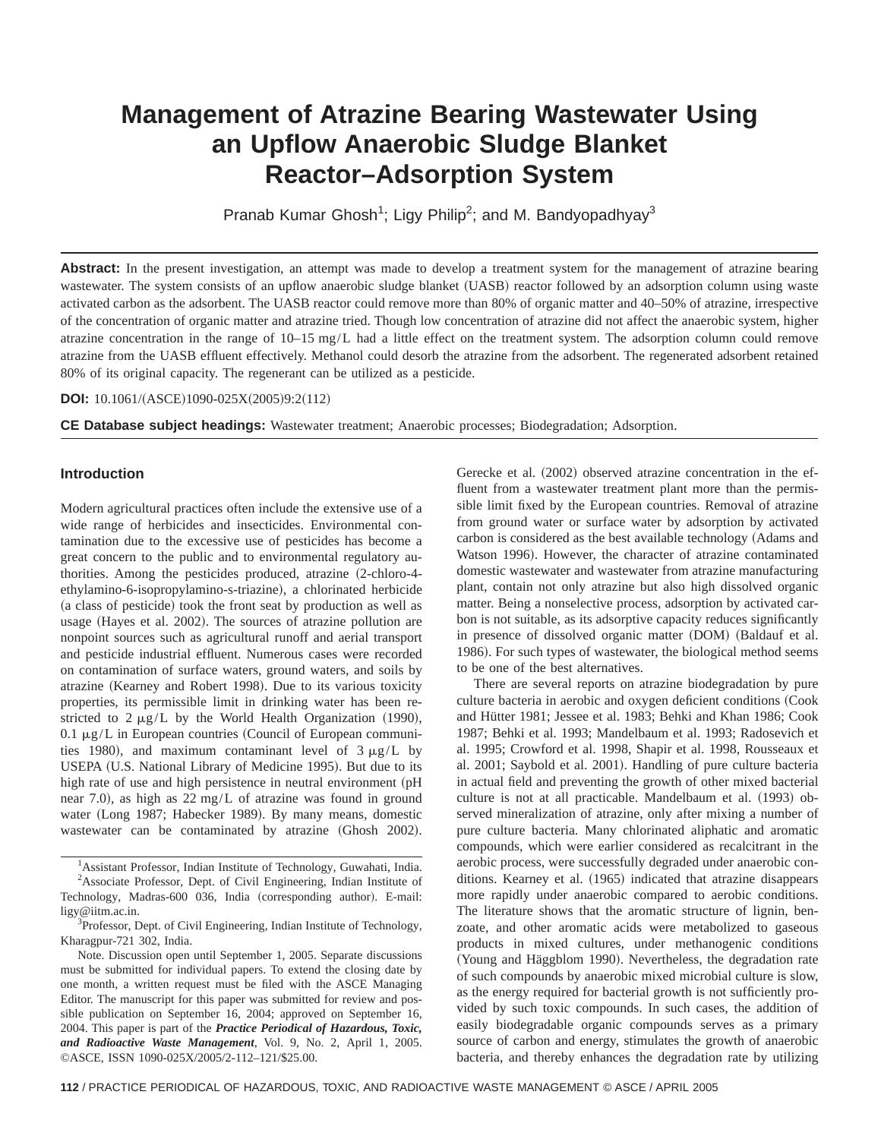# **Management of Atrazine Bearing Wastewater Using an Upflow Anaerobic Sludge Blanket Reactor–Adsorption System**

Pranab Kumar Ghosh<sup>1</sup>; Ligy Philip<sup>2</sup>; and M. Bandyopadhyay<sup>3</sup>

Abstract: In the present investigation, an attempt was made to develop a treatment system for the management of atrazine bearing wastewater. The system consists of an upflow anaerobic sludge blanket (UASB) reactor followed by an adsorption column using waste activated carbon as the adsorbent. The UASB reactor could remove more than 80% of organic matter and 40–50% of atrazine, irrespective of the concentration of organic matter and atrazine tried. Though low concentration of atrazine did not affect the anaerobic system, higher atrazine concentration in the range of 10–15 mg/L had a little effect on the treatment system. The adsorption column could remove atrazine from the UASB effluent effectively. Methanol could desorb the atrazine from the adsorbent. The regenerated adsorbent retained 80% of its original capacity. The regenerant can be utilized as a pesticide.

**DOI:** 10.1061/(ASCE)1090-025X(2005)9:2(112)

**CE Database subject headings:** Wastewater treatment; Anaerobic processes; Biodegradation; Adsorption.

# **Introduction**

Modern agricultural practices often include the extensive use of a wide range of herbicides and insecticides. Environmental contamination due to the excessive use of pesticides has become a great concern to the public and to environmental regulatory authorities. Among the pesticides produced, atrazine (2-chloro-4ethylamino-6-isopropylamino-s-triazine), a chlorinated herbicide (a class of pesticide) took the front seat by production as well as usage (Hayes et al. 2002). The sources of atrazine pollution are nonpoint sources such as agricultural runoff and aerial transport and pesticide industrial effluent. Numerous cases were recorded on contamination of surface waters, ground waters, and soils by atrazine (Kearney and Robert 1998). Due to its various toxicity properties, its permissible limit in drinking water has been restricted to  $2 \mu g/L$  by the World Health Organization (1990), 0.1  $\mu$ g/L in European countries (Council of European communities 1980), and maximum contaminant level of  $3 \mu g/L$  by USEPA (U.S. National Library of Medicine 1995). But due to its high rate of use and high persistence in neutral environment (pH near 7.0), as high as 22 mg/L of atrazine was found in ground water (Long 1987; Habecker 1989). By many means, domestic wastewater can be contaminated by atrazine (Ghosh 2002).

<sup>1</sup> Assistant Professor, Indian Institute of Technology, Guwahati, India. <sup>2</sup>Associate Professor, Dept. of Civil Engineering, Indian Institute of Technology, Madras-600 036, India (corresponding author). E-mail:

ligy@iitm.ac.in. <sup>3</sup> <sup>3</sup>Professor, Dept. of Civil Engineering, Indian Institute of Technology,

Kharagpur-721 302, India.

Note. Discussion open until September 1, 2005. Separate discussions must be submitted for individual papers. To extend the closing date by one month, a written request must be filed with the ASCE Managing Editor. The manuscript for this paper was submitted for review and possible publication on September 16, 2004; approved on September 16, 2004. This paper is part of the *Practice Periodical of Hazardous, Toxic, and Radioactive Waste Management*, Vol. 9, No. 2, April 1, 2005. ©ASCE, ISSN 1090-025X/2005/2-112–121/\$25.00.

Gerecke et al.  $(2002)$  observed atrazine concentration in the effluent from a wastewater treatment plant more than the permissible limit fixed by the European countries. Removal of atrazine from ground water or surface water by adsorption by activated carbon is considered as the best available technology (Adams and Watson 1996). However, the character of atrazine contaminated domestic wastewater and wastewater from atrazine manufacturing plant, contain not only atrazine but also high dissolved organic matter. Being a nonselective process, adsorption by activated carbon is not suitable, as its adsorptive capacity reduces significantly in presence of dissolved organic matter (DOM) (Baldauf et al. 1986). For such types of wastewater, the biological method seems to be one of the best alternatives.

There are several reports on atrazine biodegradation by pure culture bacteria in aerobic and oxygen deficient conditions (Cook and Hütter 1981; Jessee et al. 1983; Behki and Khan 1986; Cook 1987; Behki et al. 1993; Mandelbaum et al. 1993; Radosevich et al. 1995; Crowford et al. 1998, Shapir et al. 1998, Rousseaux et al. 2001; Saybold et al. 2001). Handling of pure culture bacteria in actual field and preventing the growth of other mixed bacterial culture is not at all practicable. Mandelbaum et al. (1993) observed mineralization of atrazine, only after mixing a number of pure culture bacteria. Many chlorinated aliphatic and aromatic compounds, which were earlier considered as recalcitrant in the aerobic process, were successfully degraded under anaerobic conditions. Kearney et al. (1965) indicated that atrazine disappears more rapidly under anaerobic compared to aerobic conditions. The literature shows that the aromatic structure of lignin, benzoate, and other aromatic acids were metabolized to gaseous products in mixed cultures, under methanogenic conditions (Young and Häggblom 1990). Nevertheless, the degradation rate of such compounds by anaerobic mixed microbial culture is slow, as the energy required for bacterial growth is not sufficiently provided by such toxic compounds. In such cases, the addition of easily biodegradable organic compounds serves as a primary source of carbon and energy, stimulates the growth of anaerobic bacteria, and thereby enhances the degradation rate by utilizing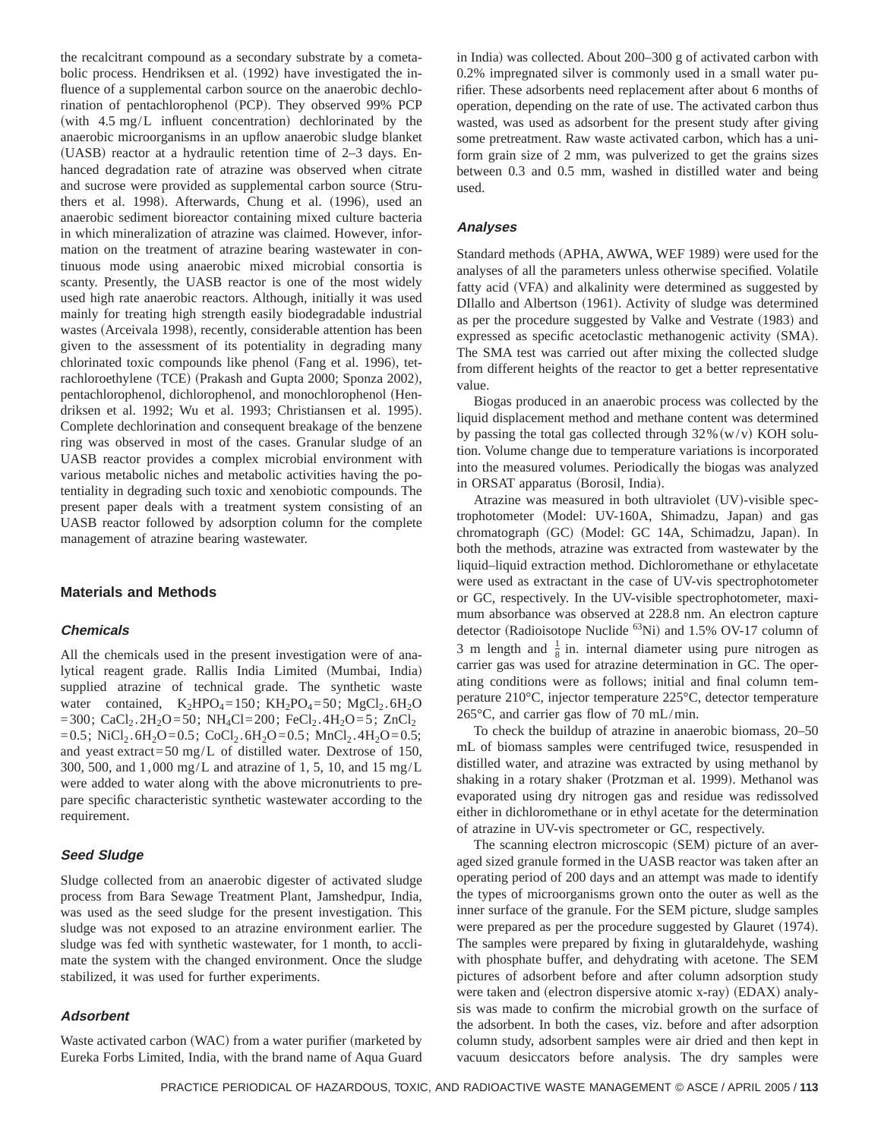the recalcitrant compound as a secondary substrate by a cometabolic process. Hendriksen et al. (1992) have investigated the influence of a supplemental carbon source on the anaerobic dechlorination of pentachlorophenol (PCP). They observed 99% PCP (with  $4.5 \text{ mg/L}$  influent concentration) dechlorinated by the anaerobic microorganisms in an upflow anaerobic sludge blanket  $(UASB)$  reactor at a hydraulic retention time of 2–3 days. Enhanced degradation rate of atrazine was observed when citrate and sucrose were provided as supplemental carbon source (Struthers et al. 1998). Afterwards, Chung et al. (1996), used an anaerobic sediment bioreactor containing mixed culture bacteria in which mineralization of atrazine was claimed. However, information on the treatment of atrazine bearing wastewater in continuous mode using anaerobic mixed microbial consortia is scanty. Presently, the UASB reactor is one of the most widely used high rate anaerobic reactors. Although, initially it was used mainly for treating high strength easily biodegradable industrial wastes (Arceivala 1998), recently, considerable attention has been given to the assessment of its potentiality in degrading many chlorinated toxic compounds like phenol (Fang et al. 1996), tetrachloroethylene (TCE) (Prakash and Gupta 2000; Sponza 2002), pentachlorophenol, dichlorophenol, and monochlorophenol (Hendriksen et al. 1992; Wu et al. 1993; Christiansen et al. 1995). Complete dechlorination and consequent breakage of the benzene ring was observed in most of the cases. Granular sludge of an UASB reactor provides a complex microbial environment with various metabolic niches and metabolic activities having the potentiality in degrading such toxic and xenobiotic compounds. The present paper deals with a treatment system consisting of an UASB reactor followed by adsorption column for the complete management of atrazine bearing wastewater.

## **Materials and Methods**

## **Chemicals**

All the chemicals used in the present investigation were of analytical reagent grade. Rallis India Limited (Mumbai, India) supplied atrazine of technical grade. The synthetic waste water contained,  $K_2HPO_4=150$ ;  $KH_2PO_4=50$ ;  $MgCl_2.6H_2O$ =300; CaCl<sub>2</sub>.2H<sub>2</sub>O=50; NH<sub>4</sub>Cl=200; FeCl<sub>2</sub>.4H<sub>2</sub>O=5; ZnCl<sub>2</sub> =0.5; NiCl<sub>2</sub>.6H<sub>2</sub>O=0.5; CoCl<sub>2</sub>.6H<sub>2</sub>O=0.5; MnCl<sub>2</sub>.4H<sub>2</sub>O=0.5; and yeast extract=50 mg/L of distilled water. Dextrose of 150, 300, 500, and 1,000 mg/L and atrazine of 1, 5, 10, and 15 mg/L were added to water along with the above micronutrients to prepare specific characteristic synthetic wastewater according to the requirement.

# **Seed Sludge**

Sludge collected from an anaerobic digester of activated sludge process from Bara Sewage Treatment Plant, Jamshedpur, India, was used as the seed sludge for the present investigation. This sludge was not exposed to an atrazine environment earlier. The sludge was fed with synthetic wastewater, for 1 month, to acclimate the system with the changed environment. Once the sludge stabilized, it was used for further experiments.

# **Adsorbent**

Waste activated carbon (WAC) from a water purifier (marketed by Eureka Forbs Limited, India, with the brand name of Aqua Guard

in India) was collected. About  $200-300$  g of activated carbon with 0.2% impregnated silver is commonly used in a small water purifier. These adsorbents need replacement after about 6 months of operation, depending on the rate of use. The activated carbon thus wasted, was used as adsorbent for the present study after giving some pretreatment. Raw waste activated carbon, which has a uniform grain size of 2 mm, was pulverized to get the grains sizes between 0.3 and 0.5 mm, washed in distilled water and being used.

# **Analyses**

Standard methods (APHA, AWWA, WEF 1989) were used for the analyses of all the parameters unless otherwise specified. Volatile fatty acid (VFA) and alkalinity were determined as suggested by DIIallo and Albertson (1961). Activity of sludge was determined as per the procedure suggested by Valke and Vestrate (1983) and expressed as specific acetoclastic methanogenic activity (SMA). The SMA test was carried out after mixing the collected sludge from different heights of the reactor to get a better representative value.

Biogas produced in an anaerobic process was collected by the liquid displacement method and methane content was determined by passing the total gas collected through  $32\%$  (w/v) KOH solution. Volume change due to temperature variations is incorporated into the measured volumes. Periodically the biogas was analyzed in ORSAT apparatus (Borosil, India).

Atrazine was measured in both ultraviolet  $(UV)$ -visible spectrophotometer (Model: UV-160A, Shimadzu, Japan) and gas chromatograph (GC) (Model: GC 14A, Schimadzu, Japan). In both the methods, atrazine was extracted from wastewater by the liquid–liquid extraction method. Dichloromethane or ethylacetate were used as extractant in the case of UV-vis spectrophotometer or GC, respectively. In the UV-visible spectrophotometer, maximum absorbance was observed at 228.8 nm. An electron capture detector (Radioisotope Nuclide  ${}^{63}$ Ni) and 1.5% OV-17 column of 3 m length and  $\frac{1}{8}$  in. internal diameter using pure nitrogen as carrier gas was used for atrazine determination in GC. The operating conditions were as follows; initial and final column temperature 210°C, injector temperature 225°C, detector temperature 265°C, and carrier gas flow of 70 mL/min.

To check the buildup of atrazine in anaerobic biomass, 20–50 mL of biomass samples were centrifuged twice, resuspended in distilled water, and atrazine was extracted by using methanol by shaking in a rotary shaker (Protzman et al. 1999). Methanol was evaporated using dry nitrogen gas and residue was redissolved either in dichloromethane or in ethyl acetate for the determination of atrazine in UV-vis spectrometer or GC, respectively.

The scanning electron microscopic (SEM) picture of an averaged sized granule formed in the UASB reactor was taken after an operating period of 200 days and an attempt was made to identify the types of microorganisms grown onto the outer as well as the inner surface of the granule. For the SEM picture, sludge samples were prepared as per the procedure suggested by Glauret (1974). The samples were prepared by fixing in glutaraldehyde, washing with phosphate buffer, and dehydrating with acetone. The SEM pictures of adsorbent before and after column adsorption study were taken and (electron dispersive atomic x-ray) (EDAX) analysis was made to confirm the microbial growth on the surface of the adsorbent. In both the cases, viz. before and after adsorption column study, adsorbent samples were air dried and then kept in vacuum desiccators before analysis. The dry samples were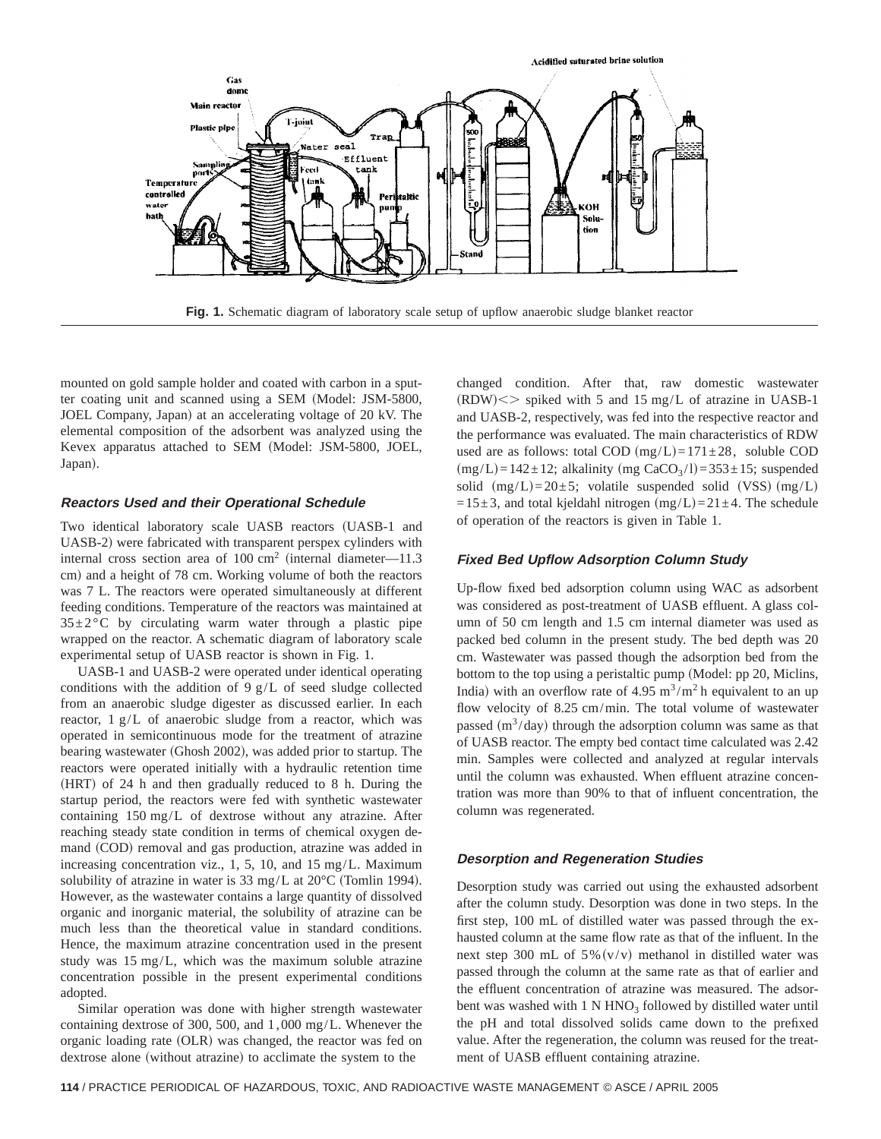

**Fig. 1.** Schematic diagram of laboratory scale setup of upflow anaerobic sludge blanket reactor

mounted on gold sample holder and coated with carbon in a sputter coating unit and scanned using a SEM (Model: JSM-5800, JOEL Company, Japan) at an accelerating voltage of 20 kV. The elemental composition of the adsorbent was analyzed using the Kevex apparatus attached to SEM (Model: JSM-5800, JOEL, Japan).

# **Reactors Used and their Operational Schedule**

Two identical laboratory scale UASB reactors (UASB-1 and UASB-2) were fabricated with transparent perspex cylinders with internal cross section area of  $100 ~\mathrm{cm}^2$  (internal diameter—11.3) cm) and a height of 78 cm. Working volume of both the reactors was 7 L. The reactors were operated simultaneously at different feeding conditions. Temperature of the reactors was maintained at  $35\pm2\degree$ C by circulating warm water through a plastic pipe wrapped on the reactor. A schematic diagram of laboratory scale experimental setup of UASB reactor is shown in Fig. 1.

UASB-1 and UASB-2 were operated under identical operating conditions with the addition of 9 g/L of seed sludge collected from an anaerobic sludge digester as discussed earlier. In each reactor, 1 g/L of anaerobic sludge from a reactor, which was operated in semicontinuous mode for the treatment of atrazine bearing wastewater (Ghosh 2002), was added prior to startup. The reactors were operated initially with a hydraulic retention time (HRT) of 24 h and then gradually reduced to 8 h. During the startup period, the reactors were fed with synthetic wastewater containing 150 mg/L of dextrose without any atrazine. After reaching steady state condition in terms of chemical oxygen demand (COD) removal and gas production, atrazine was added in increasing concentration viz., 1, 5, 10, and 15 mg/L. Maximum solubility of atrazine in water is  $33 \text{ mg/L}$  at  $20^{\circ}$ C (Tomlin 1994). However, as the wastewater contains a large quantity of dissolved organic and inorganic material, the solubility of atrazine can be much less than the theoretical value in standard conditions. Hence, the maximum atrazine concentration used in the present study was 15 mg/L, which was the maximum soluble atrazine concentration possible in the present experimental conditions adopted.

Similar operation was done with higher strength wastewater containing dextrose of 300, 500, and 1,000 mg/L. Whenever the organic loading rate (OLR) was changed, the reactor was fed on dextrose alone (without atrazine) to acclimate the system to the

changed condition. After that, raw domestic wastewater  $(RDW)$  < > spiked with 5 and 15 mg/L of atrazine in UASB-1 and UASB-2, respectively, was fed into the respective reactor and the performance was evaluated. The main characteristics of RDW used are as follows: total COD  $(mg/L)=171\pm28$ , soluble COD  $(mg/L)=142\pm12$ ; alkalinity  $(mg CaCO<sub>3</sub>/l)=353\pm15$ ; suspended solid  $(mg/L)=20\pm 5$ ; volatile suspended solid (VSS)  $(mg/L)$ =15 $\pm$ 3, and total kjeldahl nitrogen (mg/L)=21 $\pm$ 4. The schedule of operation of the reactors is given in Table 1.

# **Fixed Bed Upflow Adsorption Column Study**

Up-flow fixed bed adsorption column using WAC as adsorbent was considered as post-treatment of UASB effluent. A glass column of 50 cm length and 1.5 cm internal diameter was used as packed bed column in the present study. The bed depth was 20 cm. Wastewater was passed though the adsorption bed from the bottom to the top using a peristaltic pump (Model: pp 20, Miclins, India) with an overflow rate of 4.95  $\text{m}^3/\text{m}^2$  h equivalent to an up flow velocity of 8.25 cm/min. The total volume of wastewater passed  $(m<sup>3</sup>/day)$  through the adsorption column was same as that of UASB reactor. The empty bed contact time calculated was 2.42 min. Samples were collected and analyzed at regular intervals until the column was exhausted. When effluent atrazine concentration was more than 90% to that of influent concentration, the column was regenerated.

## **Desorption and Regeneration Studies**

Desorption study was carried out using the exhausted adsorbent after the column study. Desorption was done in two steps. In the first step, 100 mL of distilled water was passed through the exhausted column at the same flow rate as that of the influent. In the next step 300 mL of  $5\%$  (v/v) methanol in distilled water was passed through the column at the same rate as that of earlier and the effluent concentration of atrazine was measured. The adsorbent was washed with  $1 N HNO<sub>3</sub>$  followed by distilled water until the pH and total dissolved solids came down to the prefixed value. After the regeneration, the column was reused for the treatment of UASB effluent containing atrazine.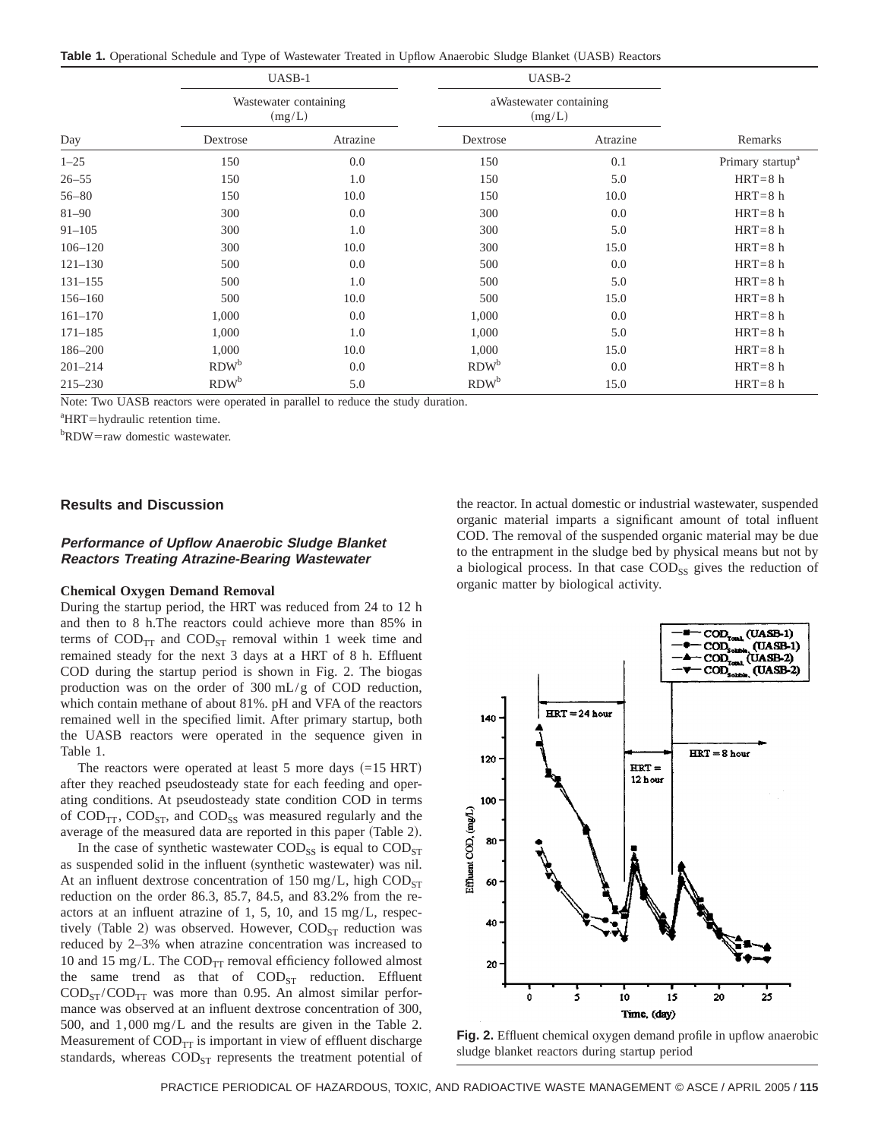Table 1. Operational Schedule and Type of Wastewater Treated in Upflow Anaerobic Sludge Blanket (UASB) Reactors

|             | UASB-1           |                       | UASB-2           |                        |                              |  |  |
|-------------|------------------|-----------------------|------------------|------------------------|------------------------------|--|--|
|             | (mg/L)           | Wastewater containing | (mg/L)           | aWastewater containing |                              |  |  |
| Day         | Dextrose         | Atrazine              | Dextrose         | Atrazine               | Remarks                      |  |  |
| $1 - 25$    | 150              | 0.0                   | 150              | 0.1                    | Primary startup <sup>a</sup> |  |  |
| $26 - 55$   | 150              | 1.0                   | 150              | 5.0                    | $HRT = 8 h$                  |  |  |
| $56 - 80$   | 150              | 10.0                  | 150              | 10.0                   | $HRT = 8 h$                  |  |  |
| $81 - 90$   | 300              | 0.0                   | 300              | 0.0                    | $HRT = 8 h$                  |  |  |
| $91 - 105$  | 300              | 1.0                   | 300              | 5.0                    | $HRT = 8 h$                  |  |  |
| $106 - 120$ | 300              | 10.0                  | 300              | 15.0                   | $HRT = 8 h$                  |  |  |
| $121 - 130$ | 500              | 0.0                   | 500              | 0.0                    | $HRT = 8 h$                  |  |  |
| $131 - 155$ | 500              | 1.0                   | 500              | 5.0                    | $HRT = 8 h$                  |  |  |
| $156 - 160$ | 500              | 10.0                  | 500              | 15.0                   | $HRT = 8 h$                  |  |  |
| $161 - 170$ | 1,000            | 0.0                   | 1,000            | 0.0                    | $HRT = 8 h$                  |  |  |
| $171 - 185$ | 1,000            | 1.0                   | 1,000            | 5.0                    | $HRT = 8 h$                  |  |  |
| 186-200     | 1,000            | 10.0                  | 1,000            | 15.0                   | $HRT = 8 h$                  |  |  |
| $201 - 214$ | RDW <sup>b</sup> | 0.0                   | RDW <sup>b</sup> | 0.0                    | $HRT = 8 h$                  |  |  |
| $215 - 230$ | RDW <sup>b</sup> | 5.0                   | RDW <sup>b</sup> | 15.0                   | $HRT = 8 h$                  |  |  |

Note: Two UASB reactors were operated in parallel to reduce the study duration.

<sup>a</sup>HRT=hydraulic retention time.

<sup>b</sup>RDW=raw domestic wastewater.

## **Results and Discussion**

# **Performance of Upflow Anaerobic Sludge Blanket Reactors Treating Atrazine-Bearing Wastewater**

### **Chemical Oxygen Demand Removal**

During the startup period, the HRT was reduced from 24 to 12 h and then to 8 h.The reactors could achieve more than 85% in terms of  $\text{COD}_{TT}$  and  $\text{COD}_{ST}$  removal within 1 week time and remained steady for the next 3 days at a HRT of 8 h. Effluent COD during the startup period is shown in Fig. 2. The biogas production was on the order of 300 mL/g of COD reduction, which contain methane of about 81%. pH and VFA of the reactors remained well in the specified limit. After primary startup, both the UASB reactors were operated in the sequence given in Table 1.

The reactors were operated at least 5 more days  $(=15$  HRT) after they reached pseudosteady state for each feeding and operating conditions. At pseudosteady state condition COD in terms of  $\text{COD}_{TT}$ ,  $\text{COD}_{ST}$ , and  $\text{COD}_{SS}$  was measured regularly and the average of the measured data are reported in this paper (Table 2).

In the case of synthetic wastewater  $\text{COD}_{SS}$  is equal to  $\text{COD}_{ST}$ as suspended solid in the influent (synthetic wastewater) was nil. At an influent dextrose concentration of 150 mg/L, high  $\text{COD}_{ST}$ reduction on the order 86.3, 85.7, 84.5, and 83.2% from the reactors at an influent atrazine of 1, 5, 10, and 15 mg/L, respectively (Table 2) was observed. However,  $\text{COD}_{ST}$  reduction was reduced by 2–3% when atrazine concentration was increased to 10 and 15 mg/L. The  $\text{COD}_{\text{TT}}$  removal efficiency followed almost the same trend as that of  $\text{COD}_{ST}$  reduction. Effluent  $\text{COD}_{ST}/\text{COD}_{TT}$  was more than 0.95. An almost similar performance was observed at an influent dextrose concentration of 300, 500, and 1,000 mg/L and the results are given in the Table 2. Measurement of  $\text{COD}_{TT}$  is important in view of effluent discharge standards, whereas  $\text{COD}_{ST}$  represents the treatment potential of the reactor. In actual domestic or industrial wastewater, suspended organic material imparts a significant amount of total influent COD. The removal of the suspended organic material may be due to the entrapment in the sludge bed by physical means but not by a biological process. In that case  $\text{COD}_{SS}$  gives the reduction of organic matter by biological activity.



**Fig. 2.** Effluent chemical oxygen demand profile in upflow anaerobic sludge blanket reactors during startup period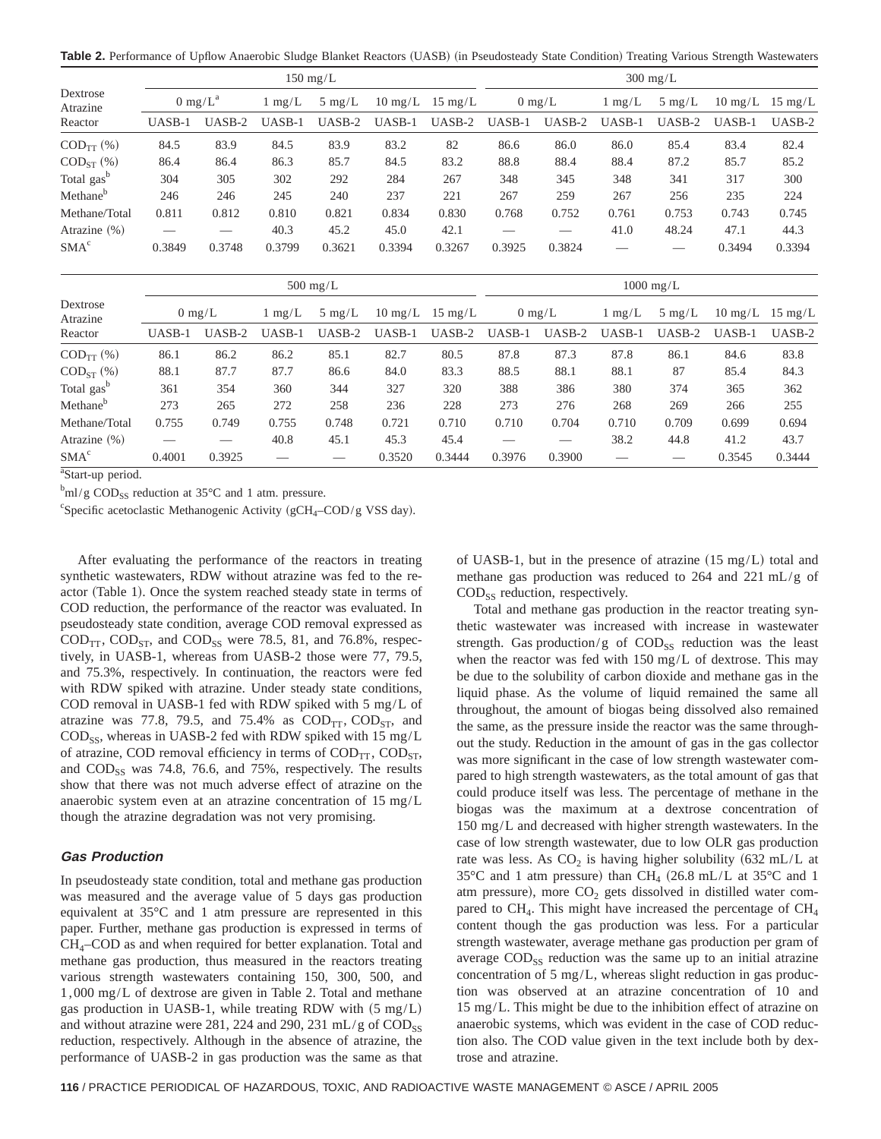Table 2. Performance of Upflow Anaerobic Sludge Blanket Reactors (UASB) (in Pseudosteady State Condition) Treating Various Strength Wastewaters

|                               | $150 \text{ mg/L}$ |                             |                        |                  |        |                           | $300 \text{ mg/L}$ |                  |                  |                  |        |                           |
|-------------------------------|--------------------|-----------------------------|------------------------|------------------|--------|---------------------------|--------------------|------------------|------------------|------------------|--------|---------------------------|
| Dextrose<br>Atrazine          |                    | $0 \text{ mg/L}^{\text{a}}$ | $\lfloor mg/L \rfloor$ | $5 \text{ mg/L}$ |        | $10 \text{ mg/L}$ 15 mg/L |                    | $0 \text{ mg/L}$ | $1 \text{ mg/L}$ | $5 \text{ mg/L}$ |        | $10 \text{ mg/L}$ 15 mg/L |
| Reactor                       | UASB-1             | UASB-2                      | UASB-1                 | $UASB-2$         | UASB-1 | UASB-2                    | UASB-1             | UASB-2           | UASB-1           | UASB-2           | UASB-1 | UASB-2                    |
| $\text{COD}_{\text{TT}}(\% )$ | 84.5               | 83.9                        | 84.5                   | 83.9             | 83.2   | 82                        | 86.6               | 86.0             | 86.0             | 85.4             | 83.4   | 82.4                      |
| $COD_{ST}$ (%)                | 86.4               | 86.4                        | 86.3                   | 85.7             | 84.5   | 83.2                      | 88.8               | 88.4             | 88.4             | 87.2             | 85.7   | 85.2                      |
| Total gas <sup>b</sup>        | 304                | 305                         | 302                    | 292              | 284    | 267                       | 348                | 345              | 348              | 341              | 317    | 300                       |
| Methane <sup>b</sup>          | 246                | 246                         | 245                    | 240              | 237    | 221                       | 267                | 259              | 267              | 256              | 235    | 224                       |
| Methane/Total                 | 0.811              | 0.812                       | 0.810                  | 0.821            | 0.834  | 0.830                     | 0.768              | 0.752            | 0.761            | 0.753            | 0.743  | 0.745                     |
| Atrazine $(\%)$               |                    |                             | 40.3                   | 45.2             | 45.0   | 42.1                      |                    |                  | 41.0             | 48.24            | 47.1   | 44.3                      |
| SMA <sup>c</sup>              | 0.3849             | 0.3748                      | 0.3799                 | 0.3621           | 0.3394 | 0.3267                    | 0.3925             | 0.3824           |                  |                  | 0.3494 | 0.3394                    |

|                        | $500 \text{ mg/L}$ |                  |                  |                  |        |                           | $1000 \text{ mg/L}$ |                  |                  |                  |        |                           |
|------------------------|--------------------|------------------|------------------|------------------|--------|---------------------------|---------------------|------------------|------------------|------------------|--------|---------------------------|
| Dextrose<br>Atrazine   |                    | $0 \text{ mg/L}$ | $1 \text{ mg/L}$ | $5 \text{ mg/L}$ |        | $10 \text{ mg/L}$ 15 mg/L |                     | $0 \text{ mg/L}$ | $1 \text{ mg/L}$ | $5 \text{ mg/L}$ |        | $10 \text{ mg/L}$ 15 mg/L |
| Reactor                | UASB-1             | UASB-2           | UASB-1           | $UASB-2$         | UASB-1 | UASB-2                    | UASB-1              | UASB-2           | UASB-1           | UASB-2           | UASB-1 | UASB-2                    |
| $COD_{TT} (\% )$       | 86.1               | 86.2             | 86.2             | 85.1             | 82.7   | 80.5                      | 87.8                | 87.3             | 87.8             | 86.1             | 84.6   | 83.8                      |
| $COD_{ST}$ (%)         | 88.1               | 87.7             | 87.7             | 86.6             | 84.0   | 83.3                      | 88.5                | 88.1             | 88.1             | 87               | 85.4   | 84.3                      |
| Total gas <sup>b</sup> | 361                | 354              | 360              | 344              | 327    | 320                       | 388                 | 386              | 380              | 374              | 365    | 362                       |
| Methane <sup>b</sup>   | 273                | 265              | 272              | 258              | 236    | 228                       | 273                 | 276              | 268              | 269              | 266    | 255                       |
| Methane/Total          | 0.755              | 0.749            | 0.755            | 0.748            | 0.721  | 0.710                     | 0.710               | 0.704            | 0.710            | 0.709            | 0.699  | 0.694                     |
| Atrazine $(\%)$        |                    |                  | 40.8             | 45.1             | 45.3   | 45.4                      | --                  |                  | 38.2             | 44.8             | 41.2   | 43.7                      |
| SMA <sup>c</sup>       | 0.4001             | 0.3925           |                  | _                | 0.3520 | 0.3444                    | 0.3976              | 0.3900           |                  |                  | 0.3545 | 0.3444                    |

<sup>a</sup>Start-up period.

 $\rm{^{b}ml/g}$  COD<sub>SS</sub> reduction at 35 $\rm{^{\circ}C}$  and 1 atm. pressure.

<sup>c</sup>Specific acetoclastic Methanogenic Activity (gCH<sub>4</sub>–COD/g VSS day).

After evaluating the performance of the reactors in treating synthetic wastewaters, RDW without atrazine was fed to the reactor (Table 1). Once the system reached steady state in terms of COD reduction, the performance of the reactor was evaluated. In pseudosteady state condition, average COD removal expressed as  $\text{COD}_{TT}$ ,  $\text{COD}_{ST}$ , and  $\text{COD}_{SS}$  were 78.5, 81, and 76.8%, respectively, in UASB-1, whereas from UASB-2 those were 77, 79.5, and 75.3%, respectively. In continuation, the reactors were fed with RDW spiked with atrazine. Under steady state conditions, COD removal in UASB-1 fed with RDW spiked with 5 mg/L of atrazine was 77.8, 79.5, and 75.4% as  $\text{COD}_{TT}$ ,  $\text{COD}_{ST}$ , and  $\text{COD}_{SS}$ , whereas in UASB-2 fed with RDW spiked with 15 mg/L of atrazine, COD removal efficiency in terms of  $\text{COD}_{TT}$ ,  $\text{COD}_{ST}$ , and  $\text{COD}_{SS}$  was 74.8, 76.6, and 75%, respectively. The results show that there was not much adverse effect of atrazine on the anaerobic system even at an atrazine concentration of 15 mg/L though the atrazine degradation was not very promising.

# **Gas Production**

In pseudosteady state condition, total and methane gas production was measured and the average value of 5 days gas production equivalent at 35°C and 1 atm pressure are represented in this paper. Further, methane gas production is expressed in terms of  $CH<sub>4</sub>-COD$  as and when required for better explanation. Total and methane gas production, thus measured in the reactors treating various strength wastewaters containing 150, 300, 500, and 1,000 mg/L of dextrose are given in Table 2. Total and methane gas production in UASB-1, while treating RDW with  $(5 \text{ mg/L})$ and without atrazine were 281, 224 and 290, 231 mL/g of  $\text{COD}_{SS}$ reduction, respectively. Although in the absence of atrazine, the performance of UASB-2 in gas production was the same as that of UASB-1, but in the presence of atrazine  $(15 \text{ mg/L})$  total and methane gas production was reduced to 264 and 221 mL/g of COD<sub>SS</sub> reduction, respectively.

Total and methane gas production in the reactor treating synthetic wastewater was increased with increase in wastewater strength. Gas production/g of  $\text{COD}_{SS}$  reduction was the least when the reactor was fed with  $150 \text{ mg/L}$  of dextrose. This may be due to the solubility of carbon dioxide and methane gas in the liquid phase. As the volume of liquid remained the same all throughout, the amount of biogas being dissolved also remained the same, as the pressure inside the reactor was the same throughout the study. Reduction in the amount of gas in the gas collector was more significant in the case of low strength wastewater compared to high strength wastewaters, as the total amount of gas that could produce itself was less. The percentage of methane in the biogas was the maximum at a dextrose concentration of 150 mg/L and decreased with higher strength wastewaters. In the case of low strength wastewater, due to low OLR gas production rate was less. As  $CO<sub>2</sub>$  is having higher solubility (632 mL/L at 35°C and 1 atm pressure) than CH<sub>4</sub> (26.8 mL/L at 35°C and 1 atm pressure), more  $CO<sub>2</sub>$  gets dissolved in distilled water compared to  $CH_4$ . This might have increased the percentage of  $CH_4$ content though the gas production was less. For a particular strength wastewater, average methane gas production per gram of average  $\text{COD}_{SS}$  reduction was the same up to an initial atrazine concentration of 5 mg/L, whereas slight reduction in gas production was observed at an atrazine concentration of 10 and 15 mg/L. This might be due to the inhibition effect of atrazine on anaerobic systems, which was evident in the case of COD reduction also. The COD value given in the text include both by dextrose and atrazine.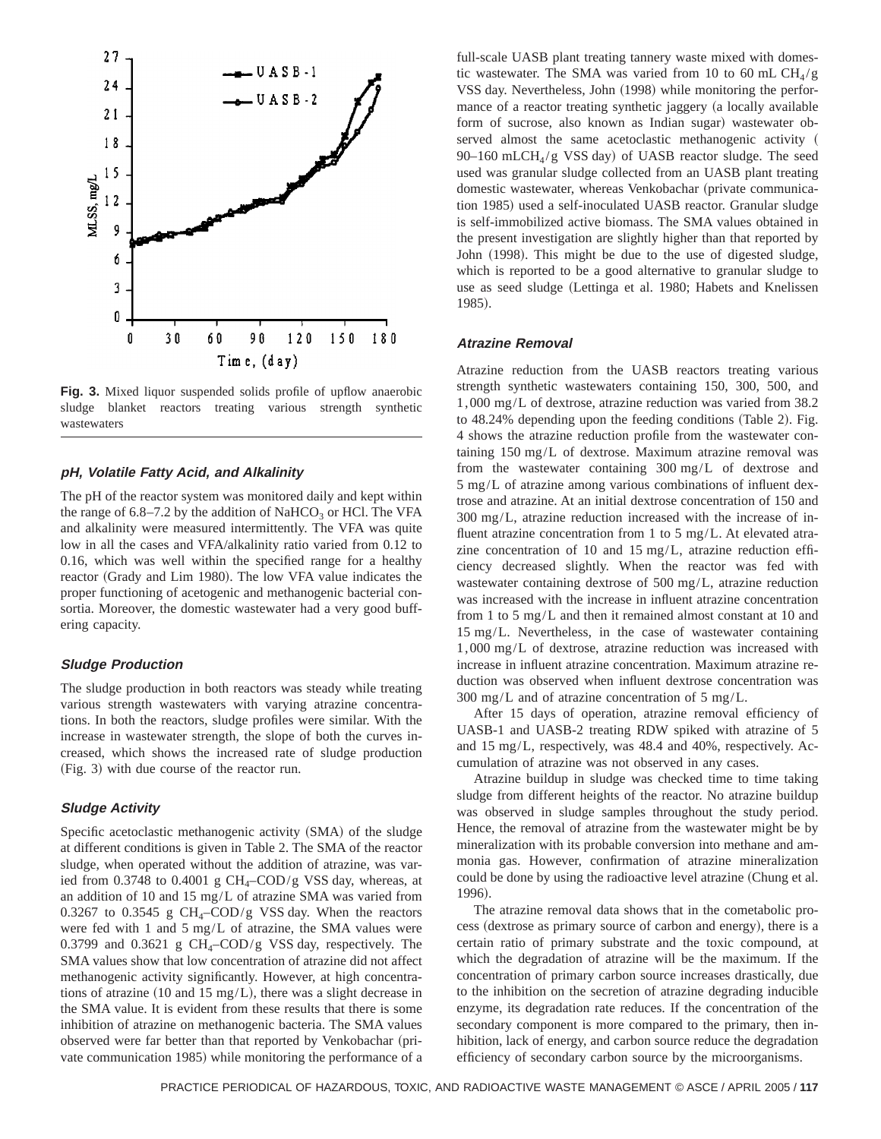

Fig. 3. Mixed liquor suspended solids profile of upflow anaerobic sludge blanket reactors treating various strength synthetic wastewaters

# **pH, Volatile Fatty Acid, and Alkalinity**

The pH of the reactor system was monitored daily and kept within the range of  $6.8-7.2$  by the addition of NaHCO<sub>3</sub> or HCl. The VFA and alkalinity were measured intermittently. The VFA was quite low in all the cases and VFA/alkalinity ratio varied from 0.12 to 0.16, which was well within the specified range for a healthy reactor (Grady and Lim 1980). The low VFA value indicates the proper functioning of acetogenic and methanogenic bacterial consortia. Moreover, the domestic wastewater had a very good buffering capacity.

## **Sludge Production**

The sludge production in both reactors was steady while treating various strength wastewaters with varying atrazine concentrations. In both the reactors, sludge profiles were similar. With the increase in wastewater strength, the slope of both the curves increased, which shows the increased rate of sludge production  $(Fig. 3)$  with due course of the reactor run.

# **Sludge Activity**

Specific acetoclastic methanogenic activity (SMA) of the sludge at different conditions is given in Table 2. The SMA of the reactor sludge, when operated without the addition of atrazine, was varied from 0.3748 to 0.4001 g  $CH<sub>4</sub>-COD/g$  VSS day, whereas, at an addition of 10 and 15 mg/L of atrazine SMA was varied from 0.3267 to 0.3545 g  $CH_4$ –COD/g VSS day. When the reactors were fed with 1 and 5 mg/L of atrazine, the SMA values were 0.3799 and 0.3621 g  $CH_4$ –COD/g VSS day, respectively. The SMA values show that low concentration of atrazine did not affect methanogenic activity significantly. However, at high concentrations of atrazine  $(10 \text{ and } 15 \text{ mg/L})$ , there was a slight decrease in the SMA value. It is evident from these results that there is some inhibition of atrazine on methanogenic bacteria. The SMA values observed were far better than that reported by Venkobachar (private communication 1985) while monitoring the performance of a

full-scale UASB plant treating tannery waste mixed with domestic wastewater. The SMA was varied from 10 to 60 mL  $CH<sub>4</sub>/g$ VSS day. Nevertheless, John (1998) while monitoring the performance of a reactor treating synthetic jaggery (a locally available form of sucrose, also known as Indian sugar) wastewater observed almost the same acetoclastic methanogenic activity ( 90–160 mLCH $_4$ /g VSS day) of UASB reactor sludge. The seed used was granular sludge collected from an UASB plant treating domestic wastewater, whereas Venkobachar (private communication 1985) used a self-inoculated UASB reactor. Granular sludge is self-immobilized active biomass. The SMA values obtained in the present investigation are slightly higher than that reported by John (1998). This might be due to the use of digested sludge, which is reported to be a good alternative to granular sludge to use as seed sludge (Lettinga et al. 1980; Habets and Knelissen 1985).

## **Atrazine Removal**

Atrazine reduction from the UASB reactors treating various strength synthetic wastewaters containing 150, 300, 500, and 1,000 mg/L of dextrose, atrazine reduction was varied from 38.2 to  $48.24\%$  depending upon the feeding conditions (Table 2). Fig. 4 shows the atrazine reduction profile from the wastewater containing 150 mg/L of dextrose. Maximum atrazine removal was from the wastewater containing 300 mg/L of dextrose and 5 mg/L of atrazine among various combinations of influent dextrose and atrazine. At an initial dextrose concentration of 150 and 300 mg/L, atrazine reduction increased with the increase of influent atrazine concentration from 1 to 5 mg/L. At elevated atrazine concentration of 10 and 15 mg/L, atrazine reduction efficiency decreased slightly. When the reactor was fed with wastewater containing dextrose of 500 mg/L, atrazine reduction was increased with the increase in influent atrazine concentration from 1 to 5 mg/L and then it remained almost constant at 10 and 15 mg/L. Nevertheless, in the case of wastewater containing 1,000 mg/L of dextrose, atrazine reduction was increased with increase in influent atrazine concentration. Maximum atrazine reduction was observed when influent dextrose concentration was  $300 \text{ mg/L}$  and of atrazine concentration of 5 mg/L.

After 15 days of operation, atrazine removal efficiency of UASB-1 and UASB-2 treating RDW spiked with atrazine of 5 and 15 mg/L, respectively, was 48.4 and 40%, respectively. Accumulation of atrazine was not observed in any cases.

Atrazine buildup in sludge was checked time to time taking sludge from different heights of the reactor. No atrazine buildup was observed in sludge samples throughout the study period. Hence, the removal of atrazine from the wastewater might be by mineralization with its probable conversion into methane and ammonia gas. However, confirmation of atrazine mineralization could be done by using the radioactive level atrazine (Chung et al. 1996).

The atrazine removal data shows that in the cometabolic process (dextrose as primary source of carbon and energy), there is a certain ratio of primary substrate and the toxic compound, at which the degradation of atrazine will be the maximum. If the concentration of primary carbon source increases drastically, due to the inhibition on the secretion of atrazine degrading inducible enzyme, its degradation rate reduces. If the concentration of the secondary component is more compared to the primary, then inhibition, lack of energy, and carbon source reduce the degradation efficiency of secondary carbon source by the microorganisms.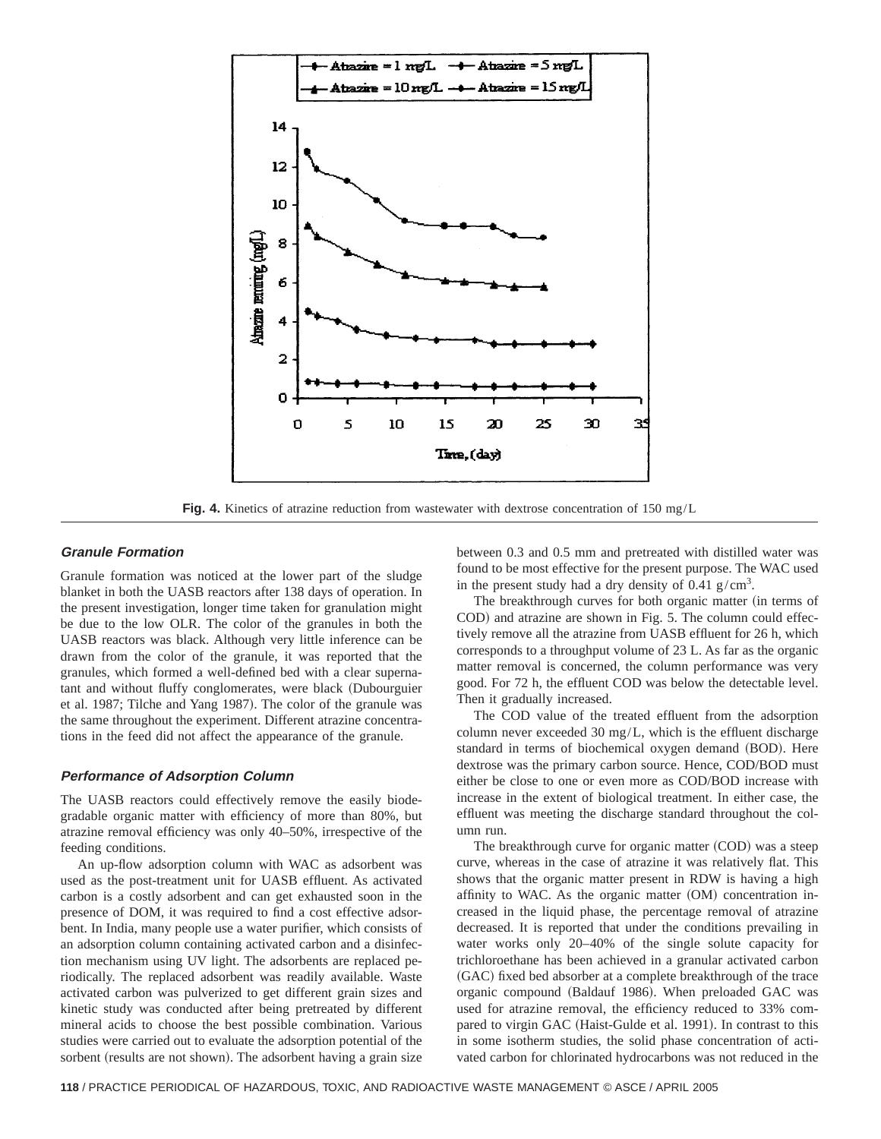

**Fig. 4.** Kinetics of atrazine reduction from wastewater with dextrose concentration of 150 mg/L

# **Granule Formation**

Granule formation was noticed at the lower part of the sludge blanket in both the UASB reactors after 138 days of operation. In the present investigation, longer time taken for granulation might be due to the low OLR. The color of the granules in both the UASB reactors was black. Although very little inference can be drawn from the color of the granule, it was reported that the granules, which formed a well-defined bed with a clear supernatant and without fluffy conglomerates, were black (Dubourguier et al. 1987; Tilche and Yang 1987). The color of the granule was the same throughout the experiment. Different atrazine concentrations in the feed did not affect the appearance of the granule.

## **Performance of Adsorption Column**

The UASB reactors could effectively remove the easily biodegradable organic matter with efficiency of more than 80%, but atrazine removal efficiency was only 40–50%, irrespective of the feeding conditions.

An up-flow adsorption column with WAC as adsorbent was used as the post-treatment unit for UASB effluent. As activated carbon is a costly adsorbent and can get exhausted soon in the presence of DOM, it was required to find a cost effective adsorbent. In India, many people use a water purifier, which consists of an adsorption column containing activated carbon and a disinfection mechanism using UV light. The adsorbents are replaced periodically. The replaced adsorbent was readily available. Waste activated carbon was pulverized to get different grain sizes and kinetic study was conducted after being pretreated by different mineral acids to choose the best possible combination. Various studies were carried out to evaluate the adsorption potential of the sorbent (results are not shown). The adsorbent having a grain size between 0.3 and 0.5 mm and pretreated with distilled water was found to be most effective for the present purpose. The WAC used in the present study had a dry density of  $0.41$  g/cm<sup>3</sup>.

The breakthrough curves for both organic matter (in terms of COD) and atrazine are shown in Fig. 5. The column could effectively remove all the atrazine from UASB effluent for 26 h, which corresponds to a throughput volume of 23 L. As far as the organic matter removal is concerned, the column performance was very good. For 72 h, the effluent COD was below the detectable level. Then it gradually increased.

The COD value of the treated effluent from the adsorption column never exceeded 30 mg/L, which is the effluent discharge standard in terms of biochemical oxygen demand (BOD). Here dextrose was the primary carbon source. Hence, COD/BOD must either be close to one or even more as COD/BOD increase with increase in the extent of biological treatment. In either case, the effluent was meeting the discharge standard throughout the column run.

The breakthrough curve for organic matter (COD) was a steep curve, whereas in the case of atrazine it was relatively flat. This shows that the organic matter present in RDW is having a high affinity to WAC. As the organic matter  $(OM)$  concentration increased in the liquid phase, the percentage removal of atrazine decreased. It is reported that under the conditions prevailing in water works only 20–40% of the single solute capacity for trichloroethane has been achieved in a granular activated carbon ~GAC! fixed bed absorber at a complete breakthrough of the trace organic compound (Baldauf 1986). When preloaded GAC was used for atrazine removal, the efficiency reduced to 33% compared to virgin GAC (Haist-Gulde et al. 1991). In contrast to this in some isotherm studies, the solid phase concentration of activated carbon for chlorinated hydrocarbons was not reduced in the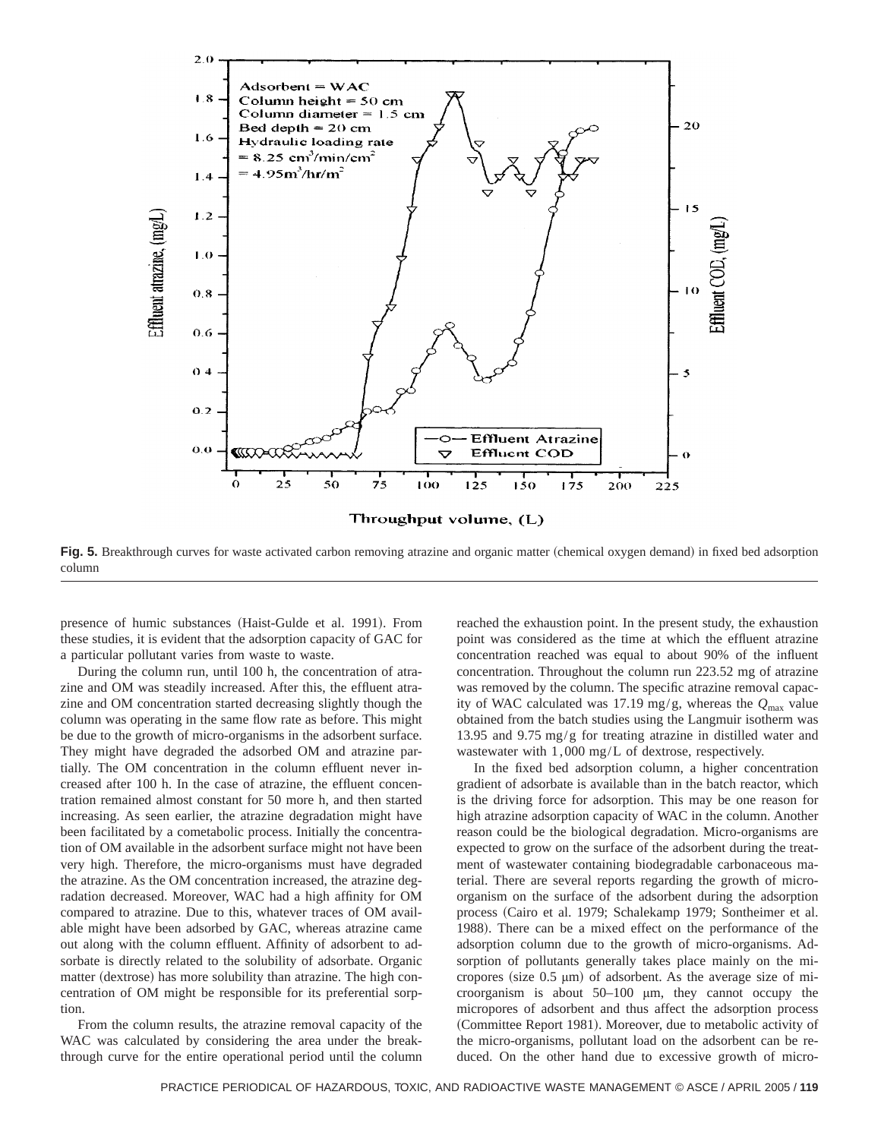

**Fig. 5.** Breakthrough curves for waste activated carbon removing atrazine and organic matter (chemical oxygen demand) in fixed bed adsorption column

presence of humic substances (Haist-Gulde et al. 1991). From these studies, it is evident that the adsorption capacity of GAC for a particular pollutant varies from waste to waste.

During the column run, until 100 h, the concentration of atrazine and OM was steadily increased. After this, the effluent atrazine and OM concentration started decreasing slightly though the column was operating in the same flow rate as before. This might be due to the growth of micro-organisms in the adsorbent surface. They might have degraded the adsorbed OM and atrazine partially. The OM concentration in the column effluent never increased after 100 h. In the case of atrazine, the effluent concentration remained almost constant for 50 more h, and then started increasing. As seen earlier, the atrazine degradation might have been facilitated by a cometabolic process. Initially the concentration of OM available in the adsorbent surface might not have been very high. Therefore, the micro-organisms must have degraded the atrazine. As the OM concentration increased, the atrazine degradation decreased. Moreover, WAC had a high affinity for OM compared to atrazine. Due to this, whatever traces of OM available might have been adsorbed by GAC, whereas atrazine came out along with the column effluent. Affinity of adsorbent to adsorbate is directly related to the solubility of adsorbate. Organic matter (dextrose) has more solubility than atrazine. The high concentration of OM might be responsible for its preferential sorption.

From the column results, the atrazine removal capacity of the WAC was calculated by considering the area under the breakthrough curve for the entire operational period until the column reached the exhaustion point. In the present study, the exhaustion point was considered as the time at which the effluent atrazine concentration reached was equal to about 90% of the influent concentration. Throughout the column run 223.52 mg of atrazine was removed by the column. The specific atrazine removal capacity of WAC calculated was 17.19 mg/g, whereas the *Q*max value obtained from the batch studies using the Langmuir isotherm was 13.95 and 9.75 mg/g for treating atrazine in distilled water and wastewater with 1,000 mg/L of dextrose, respectively.

In the fixed bed adsorption column, a higher concentration gradient of adsorbate is available than in the batch reactor, which is the driving force for adsorption. This may be one reason for high atrazine adsorption capacity of WAC in the column. Another reason could be the biological degradation. Micro-organisms are expected to grow on the surface of the adsorbent during the treatment of wastewater containing biodegradable carbonaceous material. There are several reports regarding the growth of microorganism on the surface of the adsorbent during the adsorption process (Cairo et al. 1979; Schalekamp 1979; Sontheimer et al. 1988). There can be a mixed effect on the performance of the adsorption column due to the growth of micro-organisms. Adsorption of pollutants generally takes place mainly on the micropores (size  $0.5 \mu m$ ) of adsorbent. As the average size of microorganism is about 50–100 µm, they cannot occupy the micropores of adsorbent and thus affect the adsorption process (Committee Report 1981). Moreover, due to metabolic activity of the micro-organisms, pollutant load on the adsorbent can be reduced. On the other hand due to excessive growth of micro-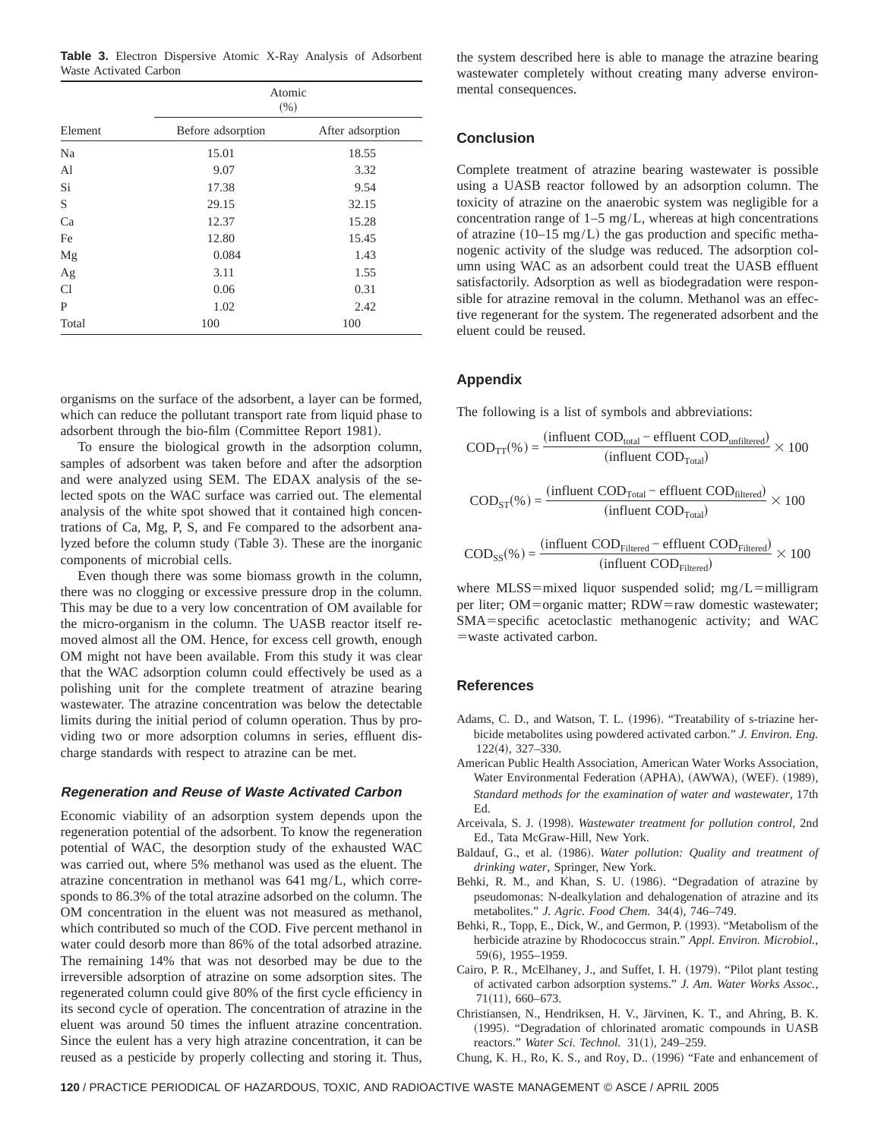**Table 3.** Electron Dispersive Atomic X-Ray Analysis of Adsorbent Waste Activated Carbon

|         | Atomic<br>(% )    |                  |  |  |  |  |
|---------|-------------------|------------------|--|--|--|--|
| Element | Before adsorption | After adsorption |  |  |  |  |
| Na      | 15.01             | 18.55            |  |  |  |  |
| Al      | 9.07              | 3.32             |  |  |  |  |
| Si      | 17.38             | 9.54             |  |  |  |  |
| S       | 29.15             | 32.15            |  |  |  |  |
| Ca      | 12.37             | 15.28            |  |  |  |  |
| Fe      | 12.80             | 15.45            |  |  |  |  |
| Mg      | 0.084             | 1.43             |  |  |  |  |
| Ag      | 3.11              | 1.55             |  |  |  |  |
| Cl      | 0.06              | 0.31             |  |  |  |  |
| P       | 1.02              | 2.42             |  |  |  |  |
| Total   | 100               | 100              |  |  |  |  |

organisms on the surface of the adsorbent, a layer can be formed, which can reduce the pollutant transport rate from liquid phase to adsorbent through the bio-film (Committee Report 1981).

To ensure the biological growth in the adsorption column, samples of adsorbent was taken before and after the adsorption and were analyzed using SEM. The EDAX analysis of the selected spots on the WAC surface was carried out. The elemental analysis of the white spot showed that it contained high concentrations of Ca, Mg, P, S, and Fe compared to the adsorbent analyzed before the column study (Table 3). These are the inorganic components of microbial cells.

Even though there was some biomass growth in the column, there was no clogging or excessive pressure drop in the column. This may be due to a very low concentration of OM available for the micro-organism in the column. The UASB reactor itself removed almost all the OM. Hence, for excess cell growth, enough OM might not have been available. From this study it was clear that the WAC adsorption column could effectively be used as a polishing unit for the complete treatment of atrazine bearing wastewater. The atrazine concentration was below the detectable limits during the initial period of column operation. Thus by providing two or more adsorption columns in series, effluent discharge standards with respect to atrazine can be met.

#### **Regeneration and Reuse of Waste Activated Carbon**

Economic viability of an adsorption system depends upon the regeneration potential of the adsorbent. To know the regeneration potential of WAC, the desorption study of the exhausted WAC was carried out, where 5% methanol was used as the eluent. The atrazine concentration in methanol was 641 mg/L, which corresponds to 86.3% of the total atrazine adsorbed on the column. The OM concentration in the eluent was not measured as methanol, which contributed so much of the COD. Five percent methanol in water could desorb more than 86% of the total adsorbed atrazine. The remaining 14% that was not desorbed may be due to the irreversible adsorption of atrazine on some adsorption sites. The regenerated column could give 80% of the first cycle efficiency in its second cycle of operation. The concentration of atrazine in the eluent was around 50 times the influent atrazine concentration. Since the eulent has a very high atrazine concentration, it can be reused as a pesticide by properly collecting and storing it. Thus,

the system described here is able to manage the atrazine bearing wastewater completely without creating many adverse environmental consequences.

## **Conclusion**

Complete treatment of atrazine bearing wastewater is possible using a UASB reactor followed by an adsorption column. The toxicity of atrazine on the anaerobic system was negligible for a concentration range of 1–5 mg/L, whereas at high concentrations of atrazine  $(10-15 \text{ mg/L})$  the gas production and specific methanogenic activity of the sludge was reduced. The adsorption column using WAC as an adsorbent could treat the UASB effluent satisfactorily. Adsorption as well as biodegradation were responsible for atrazine removal in the column. Methanol was an effective regenerant for the system. The regenerated adsorbent and the eluent could be reused.

# **Appendix**

The following is a list of symbols and abbreviations:

$$
COD_{TT}(\%) = \frac{(influent COD_{total} - effluent COD_{unfiltered})}{(influent COD_{Total})} \times 100
$$

$$
COD_{ST}(\%) = \frac{(influent COD_{Total} - effluent COD_{filtered})}{(influent COD_{Total})} \times 100
$$

$$
COD_{SS}(\%) = \frac{(influent COD_{Filtered} - effluent COD_{Filtered})}{(influent COD_{Filtered})} \times 100
$$

where MLSS=mixed liquor suspended solid; mg/L=milligram per liter; OM=organic matter; RDW=raw domestic wastewater; SMA=specific acetoclastic methanogenic activity; and WAC  $=$ waste activated carbon.

# **References**

- Adams, C. D., and Watson, T. L. (1996). "Treatability of s-triazine herbicide metabolites using powdered activated carbon." *J. Environ. Eng.*  $122(4)$ ,  $327-330$ .
- American Public Health Association, American Water Works Association, Water Environmental Federation (APHA), (AWWA), (WEF). (1989), *Standard methods for the examination of water and wastewater*, 17th Ed.
- Arceivala, S. J. (1998). *Wastewater treatment for pollution control*, 2nd Ed., Tata McGraw-Hill, New York.
- Baldauf, G., et al. (1986). *Water pollution: Quality and treatment of drinking water*, Springer, New York.
- Behki, R. M., and Khan, S. U. (1986). "Degradation of atrazine by pseudomonas: N-dealkylation and dehalogenation of atrazine and its metabolites." *J. Agric. Food Chem.* 34(4), 746-749.
- Behki, R., Topp, E., Dick, W., and Germon, P. (1993). "Metabolism of the herbicide atrazine by Rhodococcus strain." *Appl. Environ. Microbiol.*, 59(6), 1955–1959.
- Cairo, P. R., McElhaney, J., and Suffet, I. H. (1979). "Pilot plant testing of activated carbon adsorption systems." *J. Am. Water Works Assoc.*,  $71(11)$ , 660–673.
- Christiansen, N., Hendriksen, H. V., Järvinen, K. T., and Ahring, B. K. (1995). "Degradation of chlorinated aromatic compounds in UASB reactors." Water Sci. Technol. 31(1), 249-259.
- Chung, K. H., Ro, K. S., and Roy, D.. (1996) "Fate and enhancement of